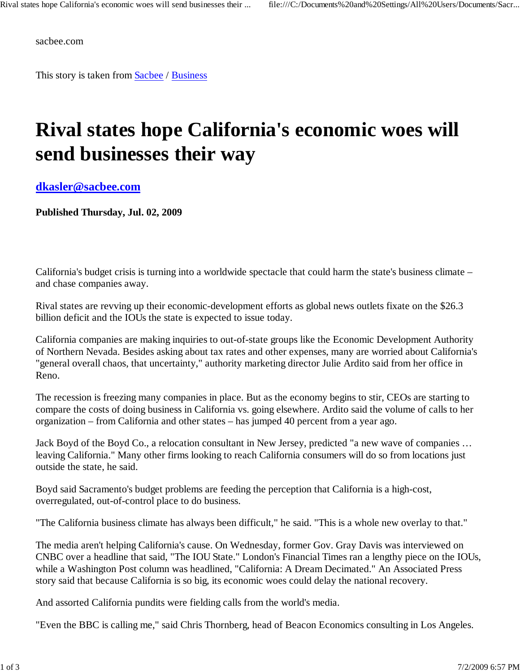sacbee.com

This story is taken from Sacbee / Business

## **Rival states hope California's economic woes will send businesses their way**

**dkasler@sacbee.com**

**Published Thursday, Jul. 02, 2009**

California's budget crisis is turning into a worldwide spectacle that could harm the state's business climate – and chase companies away.

Rival states are revving up their economic-development efforts as global news outlets fixate on the \$26.3 billion deficit and the IOUs the state is expected to issue today.

California companies are making inquiries to out-of-state groups like the Economic Development Authority of Northern Nevada. Besides asking about tax rates and other expenses, many are worried about California's "general overall chaos, that uncertainty," authority marketing director Julie Ardito said from her office in Reno.

The recession is freezing many companies in place. But as the economy begins to stir, CEOs are starting to compare the costs of doing business in California vs. going elsewhere. Ardito said the volume of calls to her organization – from California and other states – has jumped 40 percent from a year ago.

Jack Boyd of the Boyd Co., a relocation consultant in New Jersey, predicted "a new wave of companies … leaving California." Many other firms looking to reach California consumers will do so from locations just outside the state, he said.

Boyd said Sacramento's budget problems are feeding the perception that California is a high-cost, overregulated, out-of-control place to do business.

"The California business climate has always been difficult," he said. "This is a whole new overlay to that."

The media aren't helping California's cause. On Wednesday, former Gov. Gray Davis was interviewed on CNBC over a headline that said, "The IOU State." London's Financial Times ran a lengthy piece on the IOUs, while a Washington Post column was headlined, "California: A Dream Decimated." An Associated Press story said that because California is so big, its economic woes could delay the national recovery.

And assorted California pundits were fielding calls from the world's media.

"Even the BBC is calling me," said Chris Thornberg, head of Beacon Economics consulting in Los Angeles.